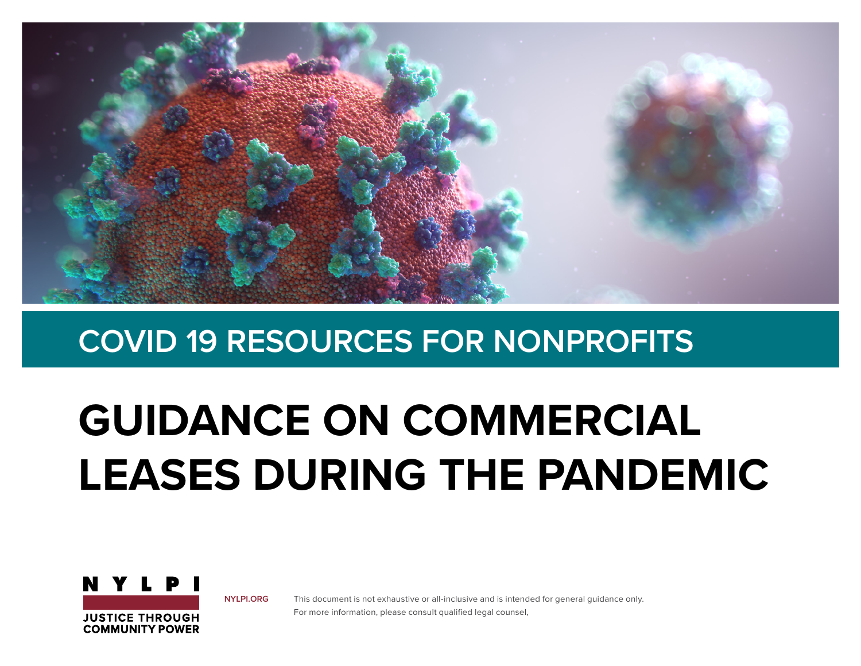

# **GUIDANCE ON COMMERCIAL LEASES DURING THE PANDEMIC**



**[NYLPI.ORG](http://NYLPI.ORG )**

This document is not exhaustive or all-inclusive and is intended for general guidance only. For more information, please consult qualified legal counsel,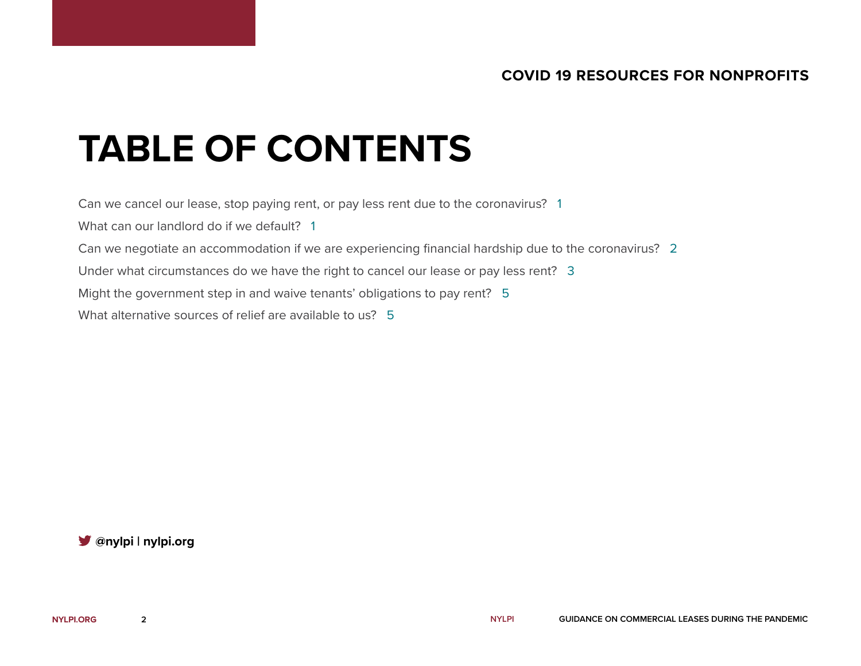## **TABLE OF CONTENTS**

Can we cancel our lease, stop paying rent, or pay less rent due to the coronavirus? 1

What can our landlord do if we default? 1

Can we negotiate an accommodation if we are experiencing financial hardship due to the coronavirus? 2

Under what circumstances do we have the right to cancel our lease or pay less rent? 3

Might the government step in and waive tenants' obligations to pay rent? 5

What alternative sources of relief are available to us? 5

**[@nylpi](https://twitter.com/NYLPI?ref_src=twsrc%5Egoogle%7Ctwcamp%5Eserp%7Ctwgr%5Eauthor) | [nylpi.org](http://NYLPI.ORG )**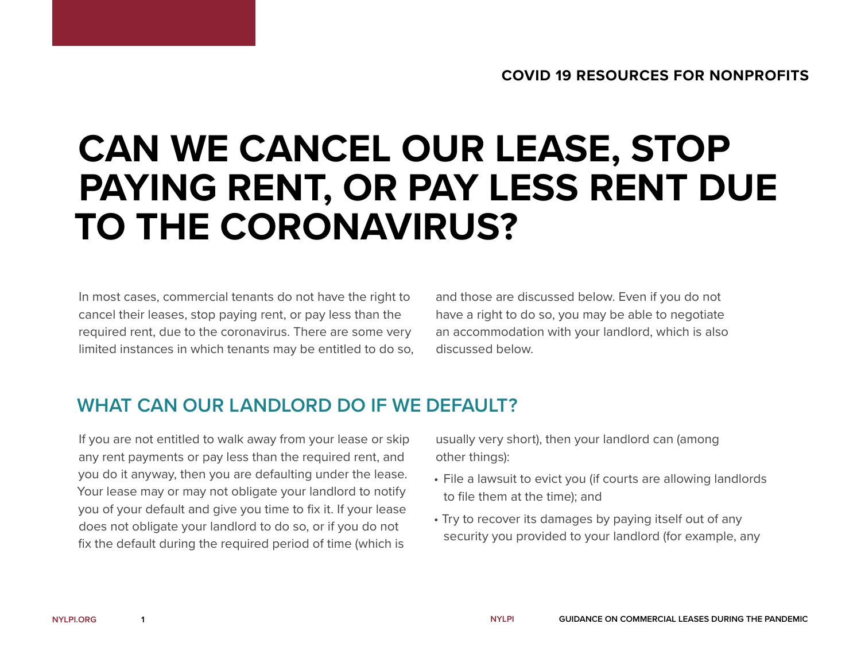## **CAN WE CANCEL OUR LEASE, STOP PAYING RENT, OR PAY LESS RENT DUE TO THE CORONAVIRUS?**

In most cases, commercial tenants do not have the right to cancel their leases, stop paying rent, or pay less than the required rent, due to the coronavirus. There are some very limited instances in which tenants may be entitled to do so, and those are discussed below. Even if you do not have a right to do so, you may be able to negotiate an accommodation with your landlord, which is also discussed below.

### **WHAT CAN OUR LANDLORD DO IF WE DEFAULT?**

If you are not entitled to walk away from your lease or skip any rent payments or pay less than the required rent, and you do it anyway, then you are defaulting under the lease. Your lease may or may not obligate your landlord to notify you of your default and give you time to fix it. If your lease does not obligate your landlord to do so, or if you do not fix the default during the required period of time (which is

usually very short), then your landlord can (among other things):

- File a lawsuit to evict you (if courts are allowing landlords to file them at the time); and
- Try to recover its damages by paying itself out of any security you provided to your landlord (for example, any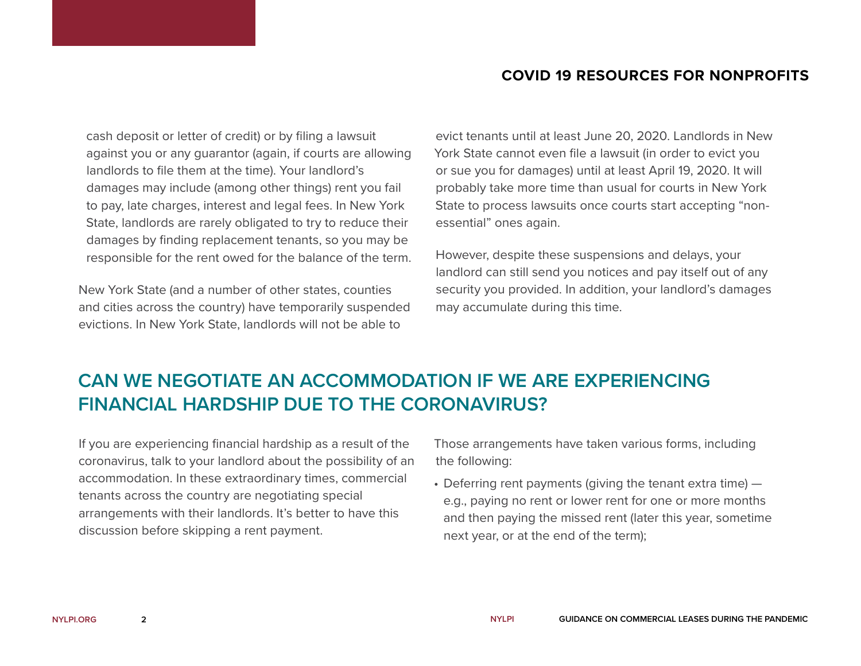cash deposit or letter of credit) or by filing a lawsuit against you or any guarantor (again, if courts are allowing landlords to file them at the time). Your landlord's damages may include (among other things) rent you fail to pay, late charges, interest and legal fees. In New York State, landlords are rarely obligated to try to reduce their damages by finding replacement tenants, so you may be responsible for the rent owed for the balance of the term.

New York State (and a number of other states, counties and cities across the country) have temporarily suspended evictions. In New York State, landlords will not be able to

evict tenants until at least June 20, 2020. Landlords in New York State cannot even file a lawsuit (in order to evict you or sue you for damages) until at least April 19, 2020. It will probably take more time than usual for courts in New York State to process lawsuits once courts start accepting "nonessential" ones again.

However, despite these suspensions and delays, your landlord can still send you notices and pay itself out of any security you provided. In addition, your landlord's damages may accumulate during this time.

## **CAN WE NEGOTIATE AN ACCOMMODATION IF WE ARE EXPERIENCING FINANCIAL HARDSHIP DUE TO THE CORONAVIRUS?**

If you are experiencing financial hardship as a result of the coronavirus, talk to your landlord about the possibility of an accommodation. In these extraordinary times, commercial tenants across the country are negotiating special arrangements with their landlords. It's better to have this discussion before skipping a rent payment.

Those arrangements have taken various forms, including the following:

• Deferring rent payments (giving the tenant extra time) e.g., paying no rent or lower rent for one or more months and then paying the missed rent (later this year, sometime next year, or at the end of the term);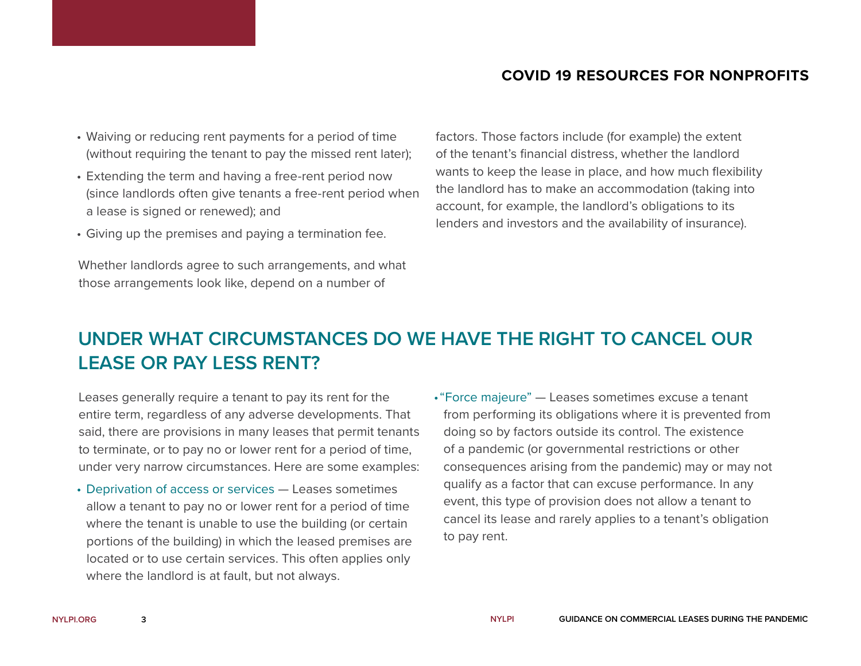- Waiving or reducing rent payments for a period of time (without requiring the tenant to pay the missed rent later);
- Extending the term and having a free-rent period now (since landlords often give tenants a free-rent period when a lease is signed or renewed); and
- Giving up the premises and paying a termination fee.

Whether landlords agree to such arrangements, and what those arrangements look like, depend on a number of

factors. Those factors include (for example) the extent of the tenant's financial distress, whether the landlord wants to keep the lease in place, and how much flexibility the landlord has to make an accommodation (taking into account, for example, the landlord's obligations to its lenders and investors and the availability of insurance).

## **UNDER WHAT CIRCUMSTANCES DO WE HAVE THE RIGHT TO CANCEL OUR LEASE OR PAY LESS RENT?**

Leases generally require a tenant to pay its rent for the entire term, regardless of any adverse developments. That said, there are provisions in many leases that permit tenants to terminate, or to pay no or lower rent for a period of time, under very narrow circumstances. Here are some examples:

- Deprivation of access or services Leases sometimes allow a tenant to pay no or lower rent for a period of time where the tenant is unable to use the building (or certain portions of the building) in which the leased premises are located or to use certain services. This often applies only where the landlord is at fault, but not always.
- •"Force majeure" Leases sometimes excuse a tenant from performing its obligations where it is prevented from doing so by factors outside its control. The existence of a pandemic (or governmental restrictions or other consequences arising from the pandemic) may or may not qualify as a factor that can excuse performance. In any event, this type of provision does not allow a tenant to cancel its lease and rarely applies to a tenant's obligation to pay rent.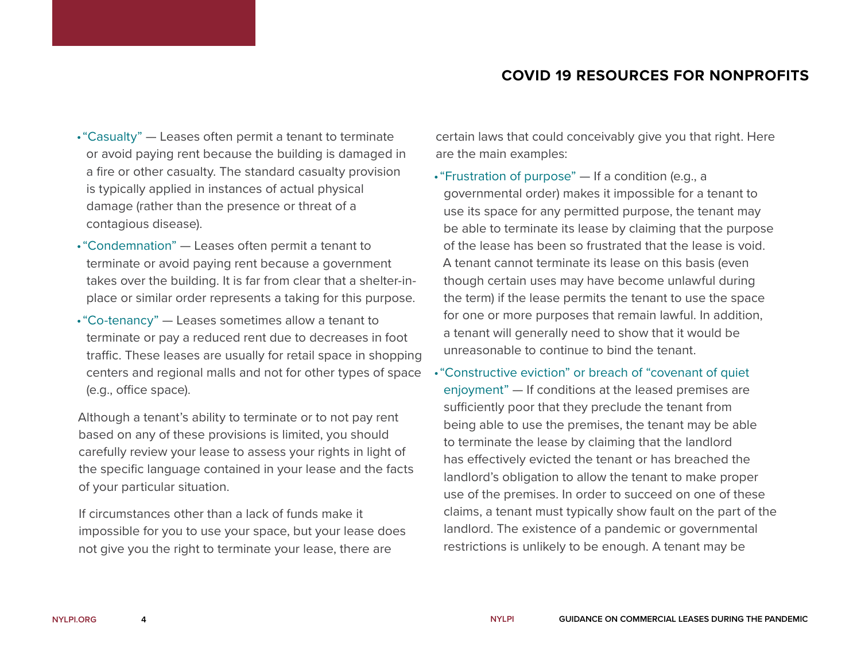- •"Casualty" Leases often permit a tenant to terminate or avoid paying rent because the building is damaged in a fire or other casualty. The standard casualty provision is typically applied in instances of actual physical damage (rather than the presence or threat of a contagious disease).
- •"Condemnation" Leases often permit a tenant to terminate or avoid paying rent because a government takes over the building. It is far from clear that a shelter-inplace or similar order represents a taking for this purpose.
- •"Co-tenancy" Leases sometimes allow a tenant to terminate or pay a reduced rent due to decreases in foot traffic. These leases are usually for retail space in shopping centers and regional malls and not for other types of space (e.g., office space).

Although a tenant's ability to terminate or to not pay rent based on any of these provisions is limited, you should carefully review your lease to assess your rights in light of the specific language contained in your lease and the facts of your particular situation.

If circumstances other than a lack of funds make it impossible for you to use your space, but your lease does not give you the right to terminate your lease, there are

certain laws that could conceivably give you that right. Here are the main examples:

- •"Frustration of purpose" If a condition (e.g., a governmental order) makes it impossible for a tenant to use its space for any permitted purpose, the tenant may be able to terminate its lease by claiming that the purpose of the lease has been so frustrated that the lease is void. A tenant cannot terminate its lease on this basis (even though certain uses may have become unlawful during the term) if the lease permits the tenant to use the space for one or more purposes that remain lawful. In addition, a tenant will generally need to show that it would be unreasonable to continue to bind the tenant.
- •"Constructive eviction" or breach of "covenant of quiet enjoyment" — If conditions at the leased premises are sufficiently poor that they preclude the tenant from being able to use the premises, the tenant may be able to terminate the lease by claiming that the landlord has effectively evicted the tenant or has breached the landlord's obligation to allow the tenant to make proper use of the premises. In order to succeed on one of these claims, a tenant must typically show fault on the part of the landlord. The existence of a pandemic or governmental restrictions is unlikely to be enough. A tenant may be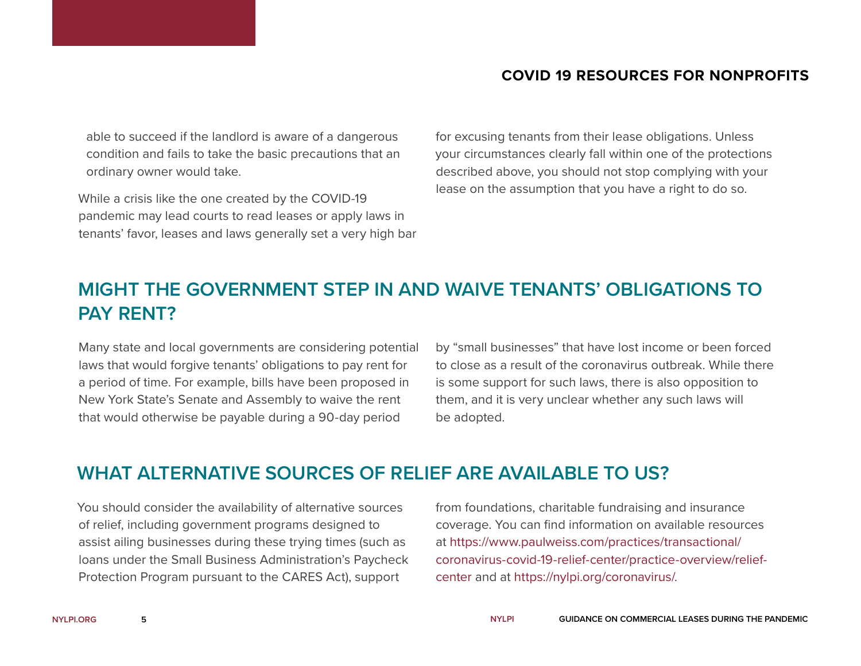able to succeed if the landlord is aware of a dangerous condition and fails to take the basic precautions that an ordinary owner would take.

While a crisis like the one created by the COVID-19 pandemic may lead courts to read leases or apply laws in tenants' favor, leases and laws generally set a very high bar for excusing tenants from their lease obligations. Unless your circumstances clearly fall within one of the protections described above, you should not stop complying with your lease on the assumption that you have a right to do so.

## **MIGHT THE GOVERNMENT STEP IN AND WAIVE TENANTS' OBLIGATIONS TO PAY RENT?**

Many state and local governments are considering potential laws that would forgive tenants' obligations to pay rent for a period of time. For example, bills have been proposed in New York State's Senate and Assembly to waive the rent that would otherwise be payable during a 90-day period

by "small businesses" that have lost income or been forced to close as a result of the coronavirus outbreak. While there is some support for such laws, there is also opposition to them, and it is very unclear whether any such laws will be adopted.

### **WHAT ALTERNATIVE SOURCES OF RELIEF ARE AVAILABLE TO US?**

You should consider the availability of alternative sources of relief, including government programs designed to assist ailing businesses during these trying times (such as loans under the Small Business Administration's Paycheck Protection Program pursuant to the CARES Act), support

from foundations, charitable fundraising and insurance coverage. You can find information on available resources at [https://www.paulweiss.com/practices/transactional/](https://www.paulweiss.com/practices/transactional/coronavirus-covid-19-relief-center/practice-overview/relief-center) [coronavirus-covid-19-relief-center/practice-overview/relief](https://www.paulweiss.com/practices/transactional/coronavirus-covid-19-relief-center/practice-overview/relief-center)[center](https://www.paulweiss.com/practices/transactional/coronavirus-covid-19-relief-center/practice-overview/relief-center) and at <https://nylpi.org/coronavirus/>.